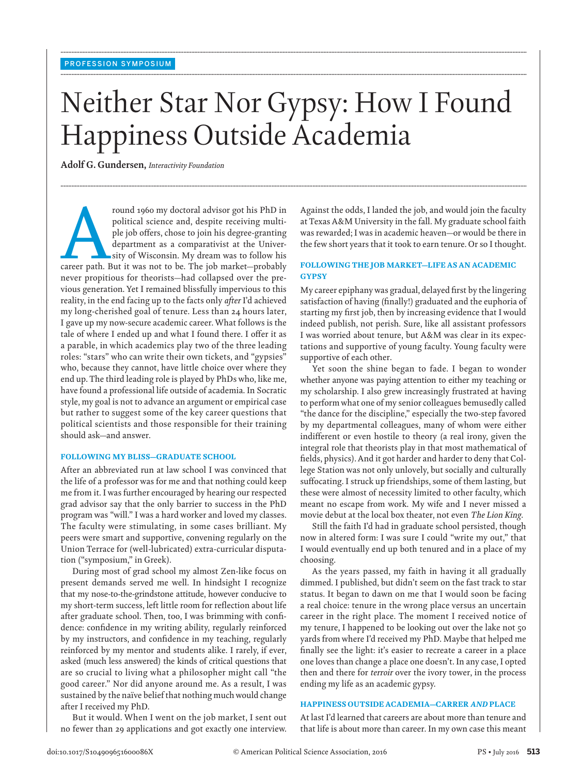# Neither Star Nor Gypsy: How I Found Happiness Outside Academia

**........................................................................................................................................................................................................................................................................................................**

**........................................................................................................................................................................................................................................................................................................**

**........................................................................................................................................................................................................................................................................................................**

 **Adolf G. Gundersen ,** *Interactivity Foundation* 

From 1960 my doctoral advisor got his PhD in political science and, despite receiving multiple job offers, chose to join his degree-granting department as a comparativist at the University of Wisconsin. My dream was to fol political science and, despite receiving multiple job offers, chose to join his degree-granting department as a comparativist at the University of Wisconsin. My dream was to follow his never propitious for theorists—had collapsed over the previous generation. Yet I remained blissfully impervious to this reality, in the end facing up to the facts only *after* I'd achieved my long-cherished goal of tenure. Less than 24 hours later, I gave up my now-secure academic career. What follows is the tale of where I ended up and what I found there. I offer it as a parable, in which academics play two of the three leading roles: "stars" who can write their own tickets, and "gypsies" who, because they cannot, have little choice over where they end up. The third leading role is played by PhDs who, like me, have found a professional life outside of academia. In Socratic style, my goal is not to advance an argument or empirical case but rather to suggest some of the key career questions that political scientists and those responsible for their training should ask—and answer.

## **FOLLOWING MY BLISS—GRADUATE SCHOOL**

 After an abbreviated run at law school I was convinced that the life of a professor was for me and that nothing could keep me from it. I was further encouraged by hearing our respected grad advisor say that the only barrier to success in the PhD program was "will." I was a hard worker and loved my classes. The faculty were stimulating, in some cases brilliant. My peers were smart and supportive, convening regularly on the Union Terrace for (well-lubricated) extra-curricular disputation ("symposium," in Greek).

 During most of grad school my almost Zen-like focus on present demands served me well. In hindsight I recognize that my nose-to-the-grindstone attitude, however conducive to my short-term success, left little room for reflection about life after graduate school. Then, too, I was brimming with confidence: confidence in my writing ability, regularly reinforced by my instructors, and confidence in my teaching, regularly reinforced by my mentor and students alike. I rarely, if ever, asked (much less answered) the kinds of critical questions that are so crucial to living what a philosopher might call "the good career." Nor did anyone around me. As a result, I was sustained by the naïve belief that nothing much would change after I received my PhD.

 But it would. When I went on the job market, I sent out no fewer than 29 applications and got exactly one interview. Against the odds, I landed the job, and would join the faculty at Texas A&M University in the fall. My graduate school faith was rewarded; I was in academic heaven—or would be there in the few short years that it took to earn tenure. Or so I thought.

# **FOLLOWING THE JOB MARKET—LIFE AS AN ACADEMIC GYPSY**

My career epiphany was gradual, delayed first by the lingering satisfaction of having (finally!) graduated and the euphoria of starting my first job, then by increasing evidence that I would indeed publish, not perish. Sure, like all assistant professors I was worried about tenure, but A&M was clear in its expectations and supportive of young faculty. Young faculty were supportive of each other.

 Yet soon the shine began to fade. I began to wonder whether anyone was paying attention to either my teaching or my scholarship. I also grew increasingly frustrated at having to perform what one of my senior colleagues bemusedly called "the dance for the discipline," especially the two-step favored by my departmental colleagues, many of whom were either indifferent or even hostile to theory (a real irony, given the integral role that theorists play in that most mathematical of fields, physics). And it got harder and harder to deny that College Station was not only unlovely, but socially and culturally suffocating. I struck up friendships, some of them lasting, but these were almost of necessity limited to other faculty, which meant no escape from work. My wife and I never missed a movie debut at the local box theater, not even *The Lion King* .

 Still the faith I'd had in graduate school persisted, though now in altered form: I was sure I could "write my out," that I would eventually end up both tenured and in a place of my choosing.

 As the years passed, my faith in having it all gradually dimmed. I published, but didn't seem on the fast track to star status. It began to dawn on me that I would soon be facing a real choice: tenure in the wrong place versus an uncertain career in the right place. The moment I received notice of my tenure, I happened to be looking out over the lake not 50 yards from where I'd received my PhD. Maybe that helped me finally see the light: it's easier to recreate a career in a place one loves than change a place one doesn't. In any case, I opted then and there for *terroir* over the ivory tower, in the process ending my life as an academic gypsy.

# **HAPPINESS OUTSIDE ACADEMIA—CARRER** *AND* **PLACE**

 At last I'd learned that careers are about more than tenure and that life is about more than career. In my own case this meant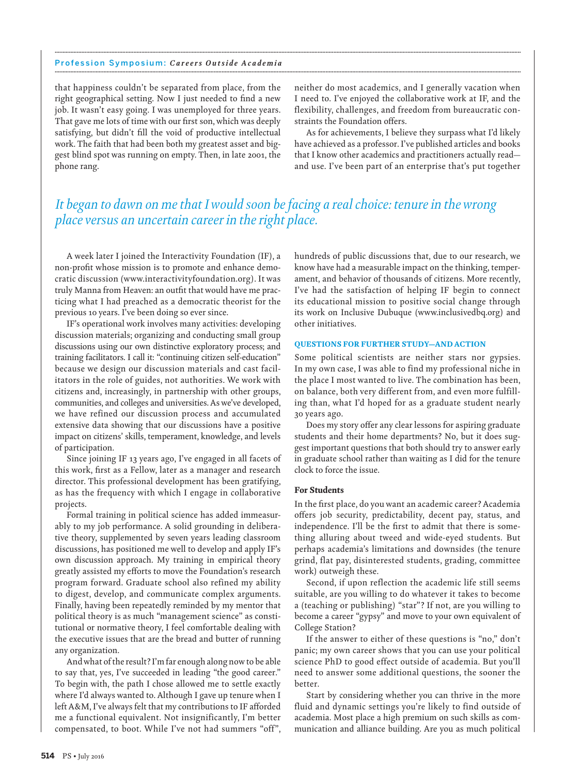#### Profession Symposium: *Careers Outside Academia* **........................................................................................................................................................................................................................................................................................................**

that happiness couldn't be separated from place, from the right geographical setting. Now I just needed to find a new job. It wasn't easy going. I was unemployed for three years. That gave me lots of time with our first son, which was deeply satisfying, but didn't fill the void of productive intellectual work. The faith that had been both my greatest asset and biggest blind spot was running on empty. Then, in late 2001, the phone rang.

neither do most academics, and I generally vacation when I need to. I've enjoyed the collaborative work at IF, and the flexibility, challenges, and freedom from bureaucratic constraints the Foundation offers.

 As for achievements, I believe they surpass what I'd likely have achieved as a professor. I've published articles and books that I know other academics and practitioners actually read and use. I've been part of an enterprise that's put together

# *It began to dawn on me that I would soon be facing a real choice: tenure in the wrong place versus an uncertain career in the right place.*

**........................................................................................................................................................................................................................................................................................................**

 A week later I joined the Interactivity Foundation (IF), a non-profit whose mission is to promote and enhance democratic discussion (www.interactivityfoundation.org). It was truly Manna from Heaven: an outfit that would have me practicing what I had preached as a democratic theorist for the previous 10 years. I've been doing so ever since.

 IF's operational work involves many activities: developing discussion materials; organizing and conducting small group discussions using our own distinctive exploratory process; and training facilitators. I call it: "continuing citizen self-education" because we design our discussion materials and cast facilitators in the role of guides, not authorities. We work with citizens and, increasingly, in partnership with other groups, communities, and colleges and universities. As we've developed, we have refined our discussion process and accumulated extensive data showing that our discussions have a positive impact on citizens' skills, temperament, knowledge, and levels of participation.

 Since joining IF 13 years ago, I've engaged in all facets of this work, first as a Fellow, later as a manager and research director. This professional development has been gratifying, as has the frequency with which I engage in collaborative projects.

 Formal training in political science has added immeasurably to my job performance. A solid grounding in deliberative theory, supplemented by seven years leading classroom discussions, has positioned me well to develop and apply IF's own discussion approach. My training in empirical theory greatly assisted my efforts to move the Foundation's research program forward. Graduate school also refined my ability to digest, develop, and communicate complex arguments. Finally, having been repeatedly reminded by my mentor that political theory is as much "management science" as constitutional or normative theory, I feel comfortable dealing with the executive issues that are the bread and butter of running any organization.

 And what of the result? I'm far enough along now to be able to say that, yes, I've succeeded in leading "the good career." To begin with, the path I chose allowed me to settle exactly where I'd always wanted to. Although I gave up tenure when I left A&M, I've always felt that my contributions to IF afforded me a functional equivalent. Not insignificantly, I'm better compensated, to boot. While I've not had summers "off",

hundreds of public discussions that, due to our research, we know have had a measurable impact on the thinking, temperament, and behavior of thousands of citizens. More recently, I've had the satisfaction of helping IF begin to connect its educational mission to positive social change through its work on Inclusive Dubuque (www.inclusivedbq.org) and other initiatives.

# **QUESTIONS FOR FURTHER STUDY—AND ACTION**

 Some political scientists are neither stars nor gypsies. In my own case, I was able to find my professional niche in the place I most wanted to live. The combination has been, on balance, both very different from, and even more fulfilling than, what I'd hoped for as a graduate student nearly 30 years ago.

Does my story offer any clear lessons for aspiring graduate students and their home departments? No, but it does suggest important questions that both should try to answer early in graduate school rather than waiting as I did for the tenure clock to force the issue.

### **For Students**

In the first place, do you want an academic career? Academia offers job security, predictability, decent pay, status, and independence. I'll be the first to admit that there is something alluring about tweed and wide-eyed students. But perhaps academia's limitations and downsides (the tenure grind, flat pay, disinterested students, grading, committee work) outweigh these.

 Second, if upon reflection the academic life still seems suitable, are you willing to do whatever it takes to become a (teaching or publishing) "star"? If not, are you willing to become a career "gypsy" and move to your own equivalent of College Station?

 If the answer to either of these questions is "no," don't panic; my own career shows that you can use your political science PhD to good effect outside of academia. But you'll need to answer some additional questions, the sooner the better.

 Start by considering whether you can thrive in the more fluid and dynamic settings you're likely to find outside of academia. Most place a high premium on such skills as communication and alliance building. Are you as much political